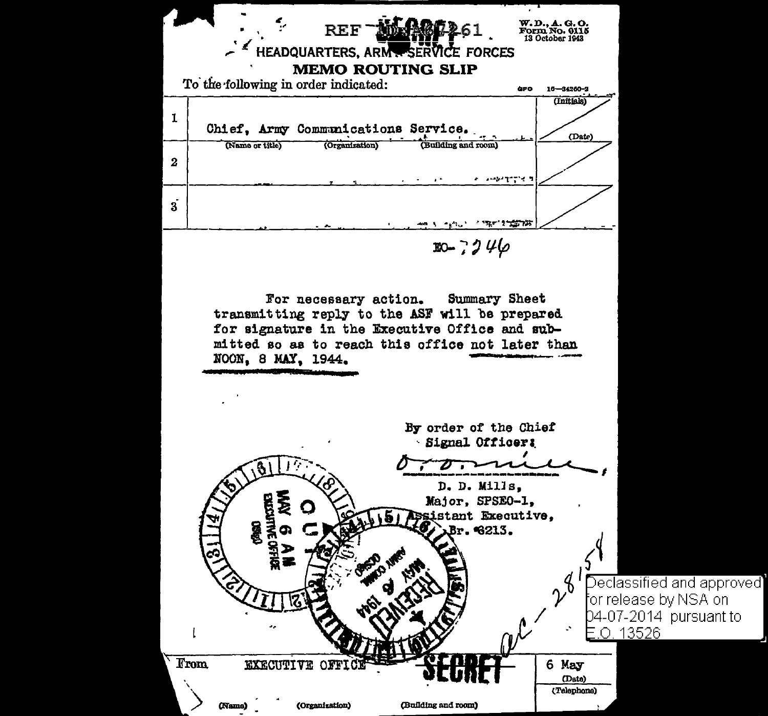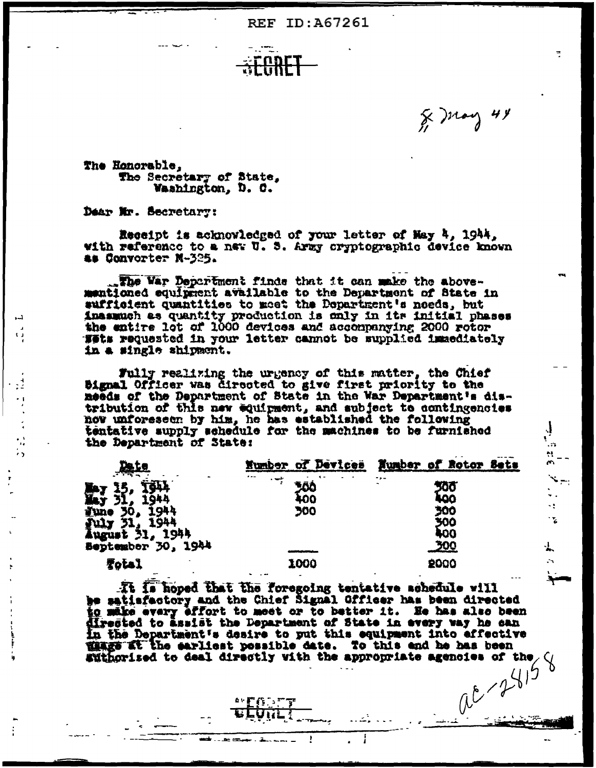**REF ID: A67261** 

...<br>د

 $\mathbf{x}_{\pi}$  $\ddotsc$ ÷.  $\mathbf{r}$ 

┄

The Honorable. The Secretary of State, Washington, D. C.

Dear Mr. Secretary:

 $\mathbf{C}$ 

Receipt is acknowledged of your letter of May 4, 1944, with reference to a new U.S. Army cryptographic device known as Convorter N-325.

The War Department finds that it can make the above-<br>mentioned equipment available to the Department of State in sufficient quantities to meet the Department's needs, but inasmuch as quantity production is only in its initial phases the entire lot of 1000 devices and accompanying 2000 rotor Wets requested in your letter cannot be supplied immediately in a single shipment.

Fully realizing the urgency of this matter, the Chief<br>Bignal Officer was directed to give first priority to the needs of the Department of State in the War Department's distribution of this new equipment, and subject to contingencies now unforeseen by him, he has established the following tentative supply schedule for the machines to be furnished the Department of State:

|                                          | Number of Devices | Number of Rotor Sets       |
|------------------------------------------|-------------------|----------------------------|
|                                          | $\cdots$<br>50    | - . -<br>500<br><b>koo</b> |
| 1944<br>Tune<br>1944<br>30,              | 400<br>300        | 300                        |
| 1944<br>July 31, 1944<br>August 31, 1944 |                   | 300<br><b>LOO</b>          |
| Beptember 30, 1944                       |                   | <u>300</u>                 |
| Total                                    | 1000              | 2000                       |

It is hoped that the foregoing tentative schedule will<br>be satisfactory and the Chief Signal Officer has been directed to make every effort to meet or to better it. He has also been directed to assist the Department of State in every way he can In the Department's desire to put this equipment into effective mage at the earliest possible date. To this end he has been **Exitentied** to deal directly with the appropriate agencies of the  $\sqrt{10^9}$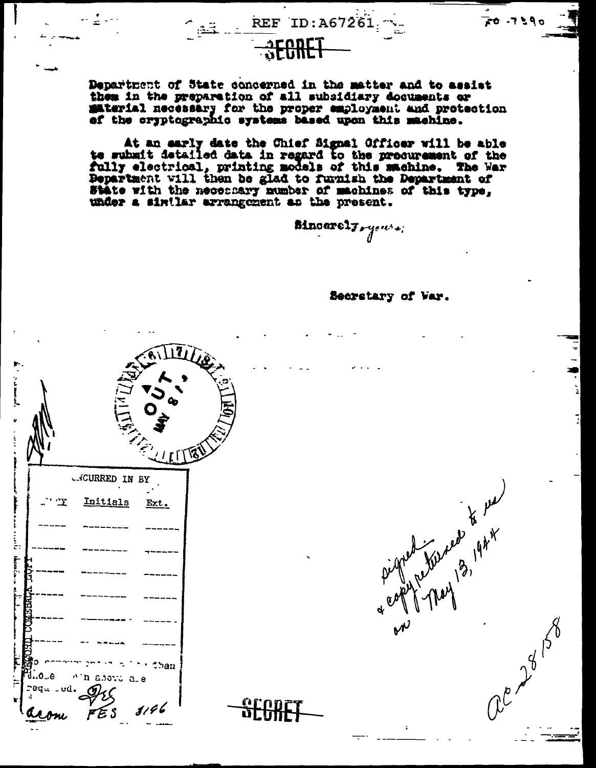Department of State concerned in the matter and to assist them in the preparation of all subsidiary documents or material necessary for the proper employment and protection af the cryptographic systems based upon this machine.

**SECRET** 

REF ID:A67261

At an early date the Chief Signal Officer will be able<br>to subsit detailed data in regard to the precurement of the fully electrical, printing models of this machine. The War Department will then be glad to furnish the Department of State with the necessary number of machines of this type, under a similar arrangement as the present.

Mnoarely yours;

Secretary of Var.

Pigned They 2019

re 28 158

 $\frac{1}{20}$  . 7 5 9 0

 $\frac{1}{2}$ 

|                                                                                                                                                                                                                                                                                                                                  |               |                             | ILIAN |
|----------------------------------------------------------------------------------------------------------------------------------------------------------------------------------------------------------------------------------------------------------------------------------------------------------------------------------|---------------|-----------------------------|-------|
| アレーション<br>Ē                                                                                                                                                                                                                                                                                                                      |               | بنيم<br>$\frac{7}{2}$       | E     |
|                                                                                                                                                                                                                                                                                                                                  |               | <b>COURRED IN BY</b>        |       |
|                                                                                                                                                                                                                                                                                                                                  | ' <u>''Y</u>  | Initials<br>Ext.            |       |
| $\begin{bmatrix} 0 & 0 & 0 \\ 0 & 0 & 0 \\ 0 & 0 & 0 \\ 0 & 0 & 0 \\ 0 & 0 & 0 \\ 0 & 0 & 0 \\ 0 & 0 & 0 \\ 0 & 0 & 0 \\ 0 & 0 & 0 \\ 0 & 0 & 0 \\ 0 & 0 & 0 & 0 \\ 0 & 0 & 0 & 0 \\ 0 & 0 & 0 & 0 \\ 0 & 0 & 0 & 0 & 0 \\ 0 & 0 & 0 & 0 & 0 \\ 0 & 0 & 0 & 0 & 0 \\ 0 & 0 & 0 & 0 & 0 & 0 \\ 0 & 0 & 0 & 0 & 0 & 0 \\ 0 & 0 & $ |               |                             |       |
|                                                                                                                                                                                                                                                                                                                                  |               |                             |       |
| <b>The Second Second</b>                                                                                                                                                                                                                                                                                                         |               |                             |       |
|                                                                                                                                                                                                                                                                                                                                  |               |                             |       |
|                                                                                                                                                                                                                                                                                                                                  |               |                             |       |
|                                                                                                                                                                                                                                                                                                                                  |               |                             |       |
| :<br>F                                                                                                                                                                                                                                                                                                                           | ⊕ت∙ن          | than<br>л<br>n abovu<br>a.e |       |
| r                                                                                                                                                                                                                                                                                                                                | 20qu<br>- ud. | 3196<br>F S                 |       |
|                                                                                                                                                                                                                                                                                                                                  |               |                             |       |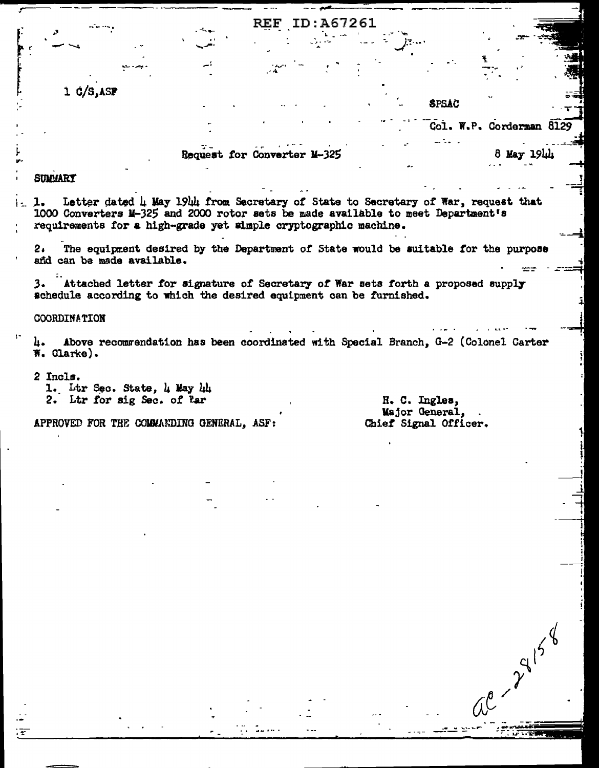|                                                                                                                                                                                                                                                | REF ID: A67261              |                                                            |                          |  |
|------------------------------------------------------------------------------------------------------------------------------------------------------------------------------------------------------------------------------------------------|-----------------------------|------------------------------------------------------------|--------------------------|--|
|                                                                                                                                                                                                                                                |                             |                                                            |                          |  |
|                                                                                                                                                                                                                                                |                             |                                                            |                          |  |
| $1 \frac{c}{s}$ , asp                                                                                                                                                                                                                          |                             |                                                            |                          |  |
|                                                                                                                                                                                                                                                |                             | <b>SPSAC</b>                                               |                          |  |
|                                                                                                                                                                                                                                                |                             |                                                            | Col. W.P. Corderman 8129 |  |
|                                                                                                                                                                                                                                                | Request for Converter M-325 |                                                            | 8 May 1944               |  |
| <b>SUMMARY</b>                                                                                                                                                                                                                                 |                             |                                                            |                          |  |
|                                                                                                                                                                                                                                                |                             |                                                            |                          |  |
| Letter dated 4 May 1944 from Secretary of State to Secretary of War, request that<br>1.<br>1000 Converters M-325 and 2000 rotor sets be made available to meet Department's<br>requirements for a high-grade yet simple cryptographic machine. |                             |                                                            |                          |  |
| 2. The equipment desired by the Department of State would be suitable for the purpose<br>and can be made available.                                                                                                                            |                             |                                                            |                          |  |
| 3. Attached letter for signature of Secretary of War sets forth a proposed supply<br>schedule according to which the desired equipment can be furnished.                                                                                       |                             |                                                            |                          |  |
| <b>COORDINATION</b>                                                                                                                                                                                                                            |                             |                                                            |                          |  |
| Above recommendation has been coordinated with Special Branch, G-2 (Colonel Carter<br>п.<br>W. Clarke).                                                                                                                                        |                             |                                                            |                          |  |
| 2 Incls.<br>1. Ltr Sec. State, 4 May 44<br>2. Ltr for sig Sec. of Par                                                                                                                                                                          |                             | H. C. Ingles,<br>Major General, .<br>Chief Signal Officer. |                          |  |
|                                                                                                                                                                                                                                                |                             |                                                            |                          |  |
| APPROVED FOR THE COMMANDING GENERAL, ASF:                                                                                                                                                                                                      |                             |                                                            |                          |  |
|                                                                                                                                                                                                                                                |                             |                                                            |                          |  |
|                                                                                                                                                                                                                                                |                             |                                                            |                          |  |
|                                                                                                                                                                                                                                                |                             |                                                            |                          |  |
|                                                                                                                                                                                                                                                |                             |                                                            |                          |  |
|                                                                                                                                                                                                                                                |                             |                                                            |                          |  |
|                                                                                                                                                                                                                                                |                             |                                                            |                          |  |
|                                                                                                                                                                                                                                                |                             |                                                            |                          |  |
|                                                                                                                                                                                                                                                |                             |                                                            |                          |  |
|                                                                                                                                                                                                                                                |                             |                                                            |                          |  |
|                                                                                                                                                                                                                                                |                             |                                                            |                          |  |
|                                                                                                                                                                                                                                                |                             |                                                            |                          |  |

 $\sigma_{\rm{max}}$ 

بعيب البيان

**PERSONAL** 

 $\ddot{\phantom{a}}$ 

 $\left\langle \overline{\mathbf{z}}\right\rangle$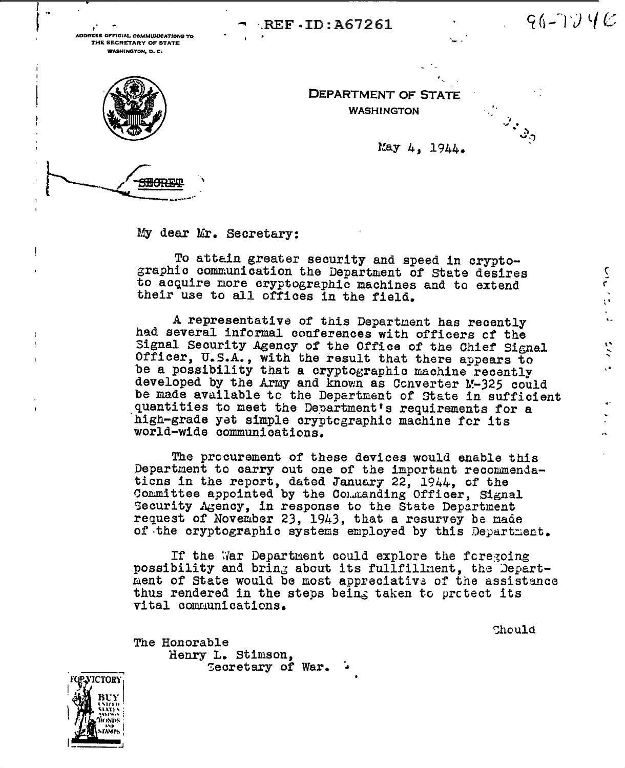REF ID: A67261

ADDRESS OFFICIAL COMMUNICATIONS TO THE SECRETARY OF STATE **WASHINGTON, D. C.** 

 $96 - 174C$ 

 $\frac{1}{2}$ 

 $\ddot{\cdot}$ 

ç.

 $\mathbb{Z}_{\mathbb{Z}_{\mathcal{O}}}$ 



÷

DEPARTMENT OF STATE **WASHINGTON** 

May  $4.1944.$ 

My dear Mr. Secretary:

To attain greater security and speed in cryptographic communication the Department of State desires to acquire more cryptographic machines and to extend their use to all offices in the field.

A representative of this Department has recently had several informal conferences with officers of the Signal Security Agency of the Office of the Chief Signal Officer, U.S.A., with the result that there appears to be a possibility that a cryptographic machine recently developed by the Army and known as Converter M-325 could be made available to the Department of State in sufficient quantities to meet the Department's requirements for a high-grade yet simple cryptcgraphic machine for its world-wide communications.

The procurement of these devices would enable this Department to carry out one of the important recommendations in the report, dated January 22, 1944, of the Committee appointed by the Commanding Officer, Signal Security Agency, in response to the State Department request of November 23, 1943, that a resurvey be made of the cryptographic systems employed by this Department.

If the War Department could explore the foregoing possibility and bring about its fullfillment, the Department of State would be most appreciative of the assistance thus rendered in the steps being taken to protect its vital communications.

Chould

The Honorable Henry L. Stimson, Cecretary of War.

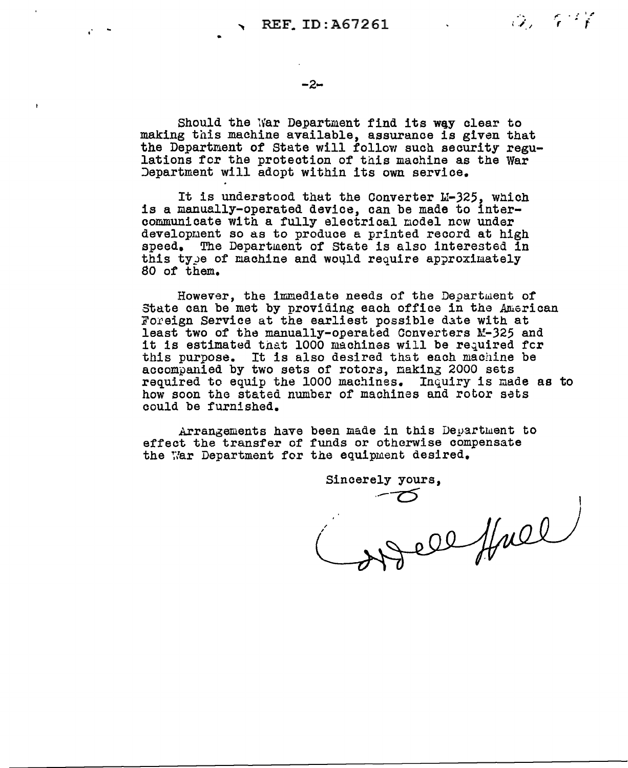$\ddot{\bullet}$ 

 $-2-$ 

Should the War Department find its way clear to making this machine available, assurance is given that the Department of State will follow such security regu-<br>lations for the protection of this machine as the War Jepartment will adopt within its own service.

It is understood that the Converter M-325, which is a manually-operated device, can be made to intercommunicate with a fully electrical nodel new under developuent so as to produce a printed record at high speed. The Department of State is also interested in this type of machine and would require approximately 80 of them.

However, the immediate needs of the Department of State can be met by providing each office in the American Foreign Service at the earliest possible date with at least two of the manually-operated Converters  $M-325$  and it is estimated that 1000 machines will be required for this purpose. It is also desired that each machine be accompanied by two sets of rotors, naking 2000 sets required to equip the 1000 machines. Inquiry is made as to how soon the stated number of machines and rotor sets could be furnished.

Arrangements have been made in this Department to effect the transfer of funds or otherwise compensate the ;//ar Department for the equipment desired.

Sincerely yours, I I  $H^{\text{2D}}$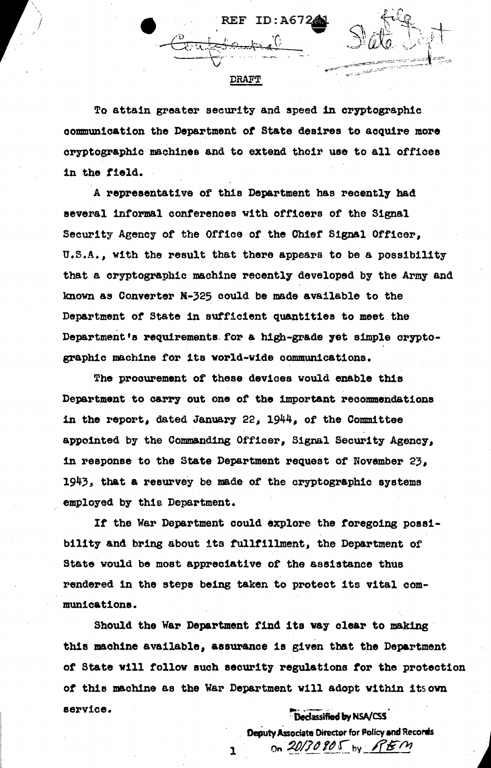## DRAFT

 $ID: A672$ 

 $\overline{\phantom{a}}$  $\overline{\phantom{a}}$ *J* 

> To attain greater security and speed in cryptographic communication the Department *ot* State desires to acqUire more cryptographic machines and to extend their use to all offices in the tield.

A representative of this Department has recently had several informal conferences with officers of the Signal Security Agency of the Office *ot* the Chief Signal Officer, U.S.A., with the result that there appears to be a poss1b111ty that a cryptographic machine recently developed by the Army and known as Converter M-325 could be made available to the Department of State in sufficient quantities to meet the Department's requirements for a high-grade yet simple cryptographic machine for its world-wide communications.

The procurement of these devices would enable this Department to carrr out one of the important recommendations in the report, dated January 22,  $1944$ , of the Committee appointed by the Commanding Officer, Signal Security Agency, 1n response to the State Department request of November 23, 1943, that a resurvey be made of the cryptographic systems employed by this Department.

If the War Department could explore the foregoing possibility and bring about its tulltillment; the Department or State would be most appreciative of the assistance thus rendered in the steps being taken to protect its vital communieat1ona.

Should the War Department find its way clear to making this machine available, assurance is given that the Department *ot* State v111 tollov such security regulations tor the protection *ot* this machine as the War Department v1ll adopt within 1tsovn service. Declassified by NSA/CSS

 $\mathbf{I}$ 

**Deputy Associate Director for Policy and Records \*\*\***<br>" on  $20/70$  go  $\sqrt{11/10}$  ...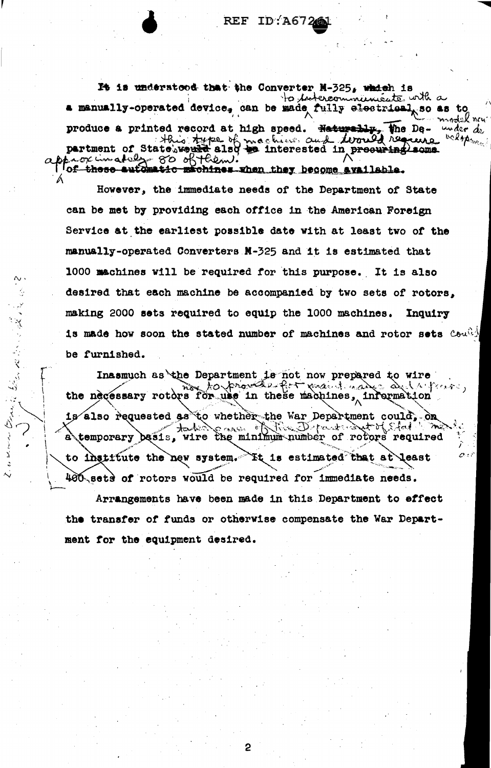REF ID:A6726

It is understood that the Converter M-325, which is to intercommunicates with a a manually-operated device, can be made fully electrical so as to model neu produce a printed record at high speed. Haturally, The De- under dependent of State'sware also to interested in procuring some below.

However, the immediate needs of the Department of State can be met by providing each office in the American Foreign Service at the earliest possible date with at least two of the manually-operated Converters N-325 and it is estimated that 1000 machines will be required for this purpose. It is also desired that each machine be accompanied by two sets of rotors, making 2000 sets required to equip the 1000 machines. Inquiry is made how soon the stated number of machines and rotor sets  $\text{Coul}$ be furnished.

Inasmuch as the Department is not now prepared to wire the necessary rotors for use in these machines, information is also requested as to whether the war Department could, on case of the Department of Stat  $+$   $\sim$ a temporary basis, wire the minimum number of rotors required to institute the new system. It is estimated that at least 400 sets of rotors would be required for immediate needs.

 $\alpha$ .

のうこう きょう

Arrangements have been made in this Department to effect the transfer of funds or otherwise compensate the War Department for the equipment desired.